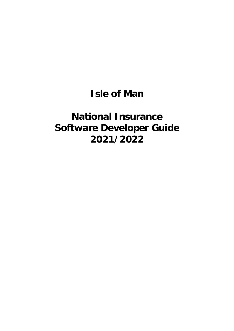# **Isle of Man**

# **National Insurance Software Developer Guide 2021/2022**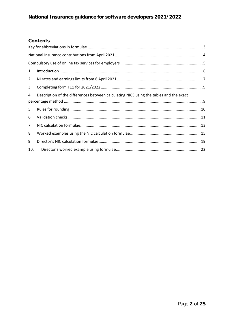## **Contents**

| 1.       | $\label{lem:1} \mbox{Introduction} \,\, \ldots \,\, \ldots \,\, \ldots \,\, \ldots \,\, \ldots \,\, \ldots \,\, \ldots \,\, \ldots \,\, \ldots \,\, \ldots \,\, \ldots \,\, \ldots \,\, \ldots \,\, \ldots \,\, \ldots \,\, \ldots \,\, \ldots \,\, \ldots \,\, \ldots \,\, \ldots \,\, \ldots \,\, \ldots \,\, \ldots \,\, \ldots \,\, \ldots \,\, \ldots \,\, \ldots \,\, \ldots \,\, \ldots \,\, \ldots \,\, \ldots \,\, \ldots \,\, \ldots \,\, \ldots \,\,$ |  |
|----------|------------------------------------------------------------------------------------------------------------------------------------------------------------------------------------------------------------------------------------------------------------------------------------------------------------------------------------------------------------------------------------------------------------------------------------------------------------------|--|
| 2.       |                                                                                                                                                                                                                                                                                                                                                                                                                                                                  |  |
| 3.       |                                                                                                                                                                                                                                                                                                                                                                                                                                                                  |  |
| 4.       | Description of the differences between calculating NICS using the tables and the exact                                                                                                                                                                                                                                                                                                                                                                           |  |
|          |                                                                                                                                                                                                                                                                                                                                                                                                                                                                  |  |
| 5.<br>6. |                                                                                                                                                                                                                                                                                                                                                                                                                                                                  |  |
| 7.       |                                                                                                                                                                                                                                                                                                                                                                                                                                                                  |  |
| 8.       |                                                                                                                                                                                                                                                                                                                                                                                                                                                                  |  |
| 9.       |                                                                                                                                                                                                                                                                                                                                                                                                                                                                  |  |
| 10.      |                                                                                                                                                                                                                                                                                                                                                                                                                                                                  |  |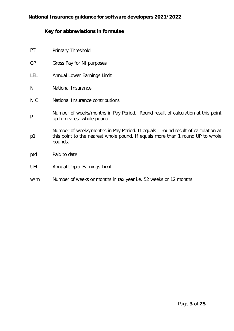# <span id="page-2-0"></span>**Key for abbreviations in formulae**

| PT         | <b>Primary Threshold</b>                                                                                                                                                      |
|------------|-------------------------------------------------------------------------------------------------------------------------------------------------------------------------------|
| <b>GP</b>  | Gross Pay for NI purposes                                                                                                                                                     |
| LEL        | Annual Lower Earnings Limit                                                                                                                                                   |
| ΝI         | National Insurance                                                                                                                                                            |
| <b>NIC</b> | National Insurance contributions                                                                                                                                              |
| p          | Number of weeks/months in Pay Period. Round result of calculation at this point<br>up to nearest whole pound.                                                                 |
| p1         | Number of weeks/months in Pay Period. If equals 1 round result of calculation at<br>this point to the nearest whole pound. If equals more than 1 round UP to whole<br>pounds. |
| ptd        | Paid to date                                                                                                                                                                  |
| <b>UEL</b> | Annual Upper Earnings Limit                                                                                                                                                   |
| w/m        | Number of weeks or months in tax year i.e. 52 weeks or 12 months                                                                                                              |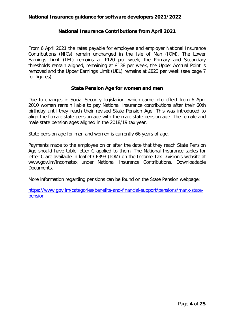#### **National Insurance Contributions from April 2021**

<span id="page-3-0"></span>From 6 April 2021 the rates payable for employee and employer National Insurance Contributions (NICs) remain unchanged in the Isle of Man (IOM). The Lower Earnings Limit (LEL) remains at £120 per week, the Primary and Secondary thresholds remain aligned, remaining at £138 per week, the Upper Accrual Point is removed and the Upper Earnings Limit (UEL) remains at £823 per week (see page 7 for figures).

#### **State Pension Age for women and men**

Due to changes in Social Security legislation, which came into effect from 6 April 2010 women remain liable to pay National Insurance contributions after their 60th birthday until they reach their revised State Pension Age. This was introduced to align the female state pension age with the male state pension age. The female and male state pension ages aligned in the 2018/19 tax year.

State pension age for men and women is currently 66 years of age.

Payments made to the employee on or after the date that they reach State Pension Age should have table letter C applied to them. The National Insurance tables for letter C are available in leaflet CF393 (IOM) on the Income Tax Division's website at [www.gov.im/incometax u](http://www.gov.im/incometax)nder National Insurance Contributions, Downloadable Documents.

More information regarding pensions can be found on the State Pension webpage:

[https://www.gov.im/categories/benefits-and-financial-support/pensions/manx-state](https://www.gov.im/categories/benefits-and-financial-support/pensions/manx-state-pension)[pension](https://www.gov.im/categories/benefits-and-financial-support/pensions/manx-state-pension)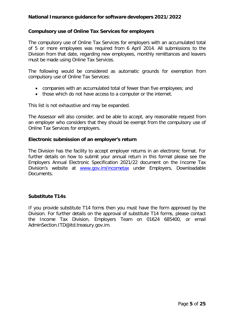#### <span id="page-4-0"></span>**Compulsory use of Online Tax Services for employers**

The compulsory use of Online Tax Services for employers with an accumulated total of 5 or more employees was required from 6 April 2014. All submissions to the Division from that date, regarding new employees, monthly remittances and leavers must be made using Online Tax Services.

The following would be considered as automatic grounds for exemption from compulsory use of Online Tax Services:

- companies with an accumulated total of fewer than five employees; and
- those which do not have access to a computer or the internet.

This list is not exhaustive and may be expanded.

The Assessor will also consider, and be able to accept, any reasonable request from an employer who considers that they should be exempt from the compulsory use of Online Tax Services for employers.

#### **Electronic submission of an employer's return**

The Division has the facility to accept employer returns in an electronic format. For further details on how to submit your annual return in this format please see the Employers Annual Electronic Specification 2021/22 document on the Income Tax Division's website at **[www.gov.im/incometax](http://www.gov.im/incometax)** under Employers, Downloadable Documents.

## **Substitute T14s**

If you provide substitute T14 forms then you must have the form approved by the Division. For further details on the approval of substitute T14 forms, please contact the Income Tax Division, Employers Team on 01624 685400, or email AdminSection.ITD@itd.treasury.gov.im.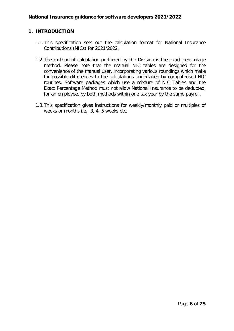## <span id="page-5-0"></span>**1. INTRODUCTION**

- 1.1.This specification sets out the calculation format for National Insurance Contributions (NICs) for 2021/2022.
- 1.2.The method of calculation preferred by the Division is the exact percentage method. Please note that the manual NIC tables are designed for the convenience of the manual user, incorporating various roundings which make for possible differences to the calculations undertaken by computerised NIC routines. Software packages which use a mixture of NIC Tables and the Exact Percentage Method must not allow National Insurance to be deducted, for an employee, by both methods within one tax year by the same payroll.
- 1.3.This specification gives instructions for weekly/monthly paid or multiples of weeks or months i.e., 3, 4, 5 weeks etc.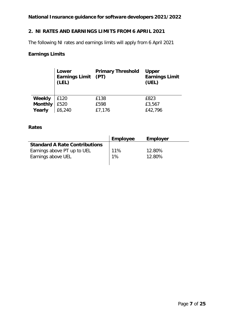## <span id="page-6-0"></span>**2. NI RATES AND EARNINGS LIMITS FROM 6 APRIL 2021**

The following NI rates and earnings limits will apply from 6 April 2021

## **Earnings Limits**

|                | Lower<br><b>Earnings Limit</b><br>(LEL) | <b>Primary Threshold</b><br>(PT) | <b>Upper</b><br><b>Earnings Limit</b><br>(UEL) |
|----------------|-----------------------------------------|----------------------------------|------------------------------------------------|
| Weekly         | £120                                    | £138                             | £823                                           |
| <b>Monthly</b> | £520                                    | £598                             | £3,567                                         |
| Yearly         | £6,240                                  | £7,176                           | £42,796                                        |

## **Rates**

|                                      | <b>Employee</b> | <b>Employer</b> |
|--------------------------------------|-----------------|-----------------|
| <b>Standard A Rate Contributions</b> |                 |                 |
| Earnings above PT up to UEL          | 11%             | 12.80%          |
| Earnings above UEL                   | 1%              | 12.80%          |
|                                      |                 |                 |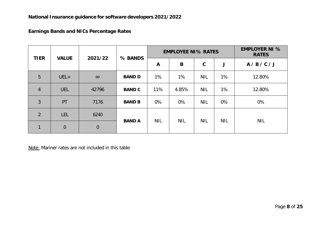## **Earnings Bands and NICs Percentage Rates**

| <b>TIER</b>    | <b>VALUE</b> | 2021/22     | % BANDS       | <b>EMPLOYEE NI% RATES</b> |            |             |            | <b>EMPLOYER NI %</b><br><b>RATES</b> |
|----------------|--------------|-------------|---------------|---------------------------|------------|-------------|------------|--------------------------------------|
|                |              |             |               | $\mathbf{A}$              | B          | $\mathbf C$ | J          | A/B/C/J                              |
| 5              | $UEL+$       | $\infty$    | <b>BAND D</b> | $1\%$                     | $1\%$      | <b>NIL</b>  | $1\%$      | 12.80%                               |
| $\overline{4}$ | <b>UEL</b>   | 42796       | <b>BAND C</b> | 11%                       | 4.85%      | <b>NIL</b>  | 1%         | 12.80%                               |
| 3              | PT           | 7176        | <b>BAND B</b> | 0%                        | 0%         | <b>NIL</b>  | 0%         | 0%                                   |
| $\overline{2}$ | LEL          | 6240        |               |                           |            |             |            |                                      |
| $\mathbf{1}$   | $\theta$     | $\mathbf 0$ | <b>BAND A</b> | <b>NIL</b>                | <b>NIL</b> | <b>NIL</b>  | <b>NIL</b> | <b>NIL</b>                           |

Note: Mariner rates are not included in this table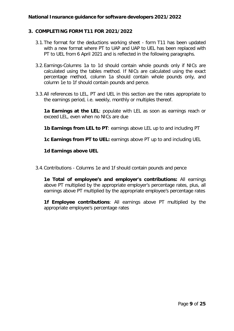## <span id="page-8-0"></span>**3. COMPLETING FORM T11 FOR 2021/2022**

- 3.1.The format for the deductions working sheet form T11 has been updated with a new format where PT to UAP and UAP to UEL has been replaced with PT to UEL from 6 April 2021 and is reflected in the following paragraphs.
- 3.2.Earnings-Columns 1a to 1d should contain whole pounds only if NICs are calculated using the tables method. If NICs are calculated using the exact percentage method, column 1a should contain whole pounds only, and column 1e to 1f should contain pounds and pence.
- 3.3.All references to LEL, PT and UEL in this section are the rates appropriate to the earnings period, i.e. weekly, monthly or multiples thereof.

**1a Earnings at the LEL**: populate with LEL as soon as earnings reach or exceed LEL, even when no NICs are due

**1b Earnings from LEL to PT**: earnings above LEL up to and including PT

**1c Earnings from PT to UEL:** earnings above PT up to and including UEL

#### **1d Earnings above UEL**

3.4.Contributions - Columns 1e and 1f should contain pounds and pence

**1e Total of employee's and employer's contributions:** All earnings above PT multiplied by the appropriate employer's percentage rates, plus, all earnings above PT multiplied by the appropriate employee's percentage rates

**1f Employee contributions**: All earnings above PT multiplied by the appropriate employee's percentage rates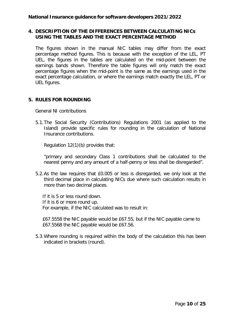## **4. DESCRIPTION OF THE DIFFERENCES BETWEEN CALCULATING NICs USING THE TABLES AND THE EXACT PERCENTAGE METHOD**

The figures shown in the manual NIC tables may differ from the exact percentage method figures. This is because with the exception of the LEL, PT UEL, the figures in the tables are calculated on the mid-point between the earnings bands shown. Therefore the table figures will only match the exact percentage figures when the mid-point is the same as the earnings used in the exact percentage calculation, or where the earnings match exactly the LEL, PT-or UEL figures.

## <span id="page-9-0"></span>**5. RULES FOR ROUNDING**

General NI contributions

5.1.The Social Security (Contributions) Regulations 2001 (as applied to the Island) provide specific rules for rounding in the calculation of National Insurance contributions.

Regulation 12(1)(b) provides that:

"primary and secondary Class 1 contributions shall be calculated to the nearest penny and any amount of a half-penny or less shall be disregarded".

5.2.As the law requires that £0.005 or less is disregarded, we only look at the third decimal place in calculating NICs due where such calculation results in more than two decimal places.

If it is 5 or less round down. If it is 6 or more round up. For example, if the NIC calculated was to result in:

£67.5558 the NIC payable would be £67.55, but if the NIC payable came to £67.5568 the NIC payable would be £67.56.

5.3.Where rounding is required within the body of the calculation this has been indicated in brackets (round).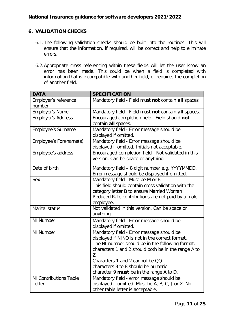## <span id="page-10-0"></span>**6. VALIDATION CHECKS**

- 6.1.The following validation checks should be built into the routines. This will ensure that the information, if required, will be correct and help to eliminate errors.
- 6.2.Appropriate cross referencing within these fields will let the user know an error has been made. This could be when a field is completed with information that is incompatible with another field, or requires the completion of another field.

| <b>DATA</b>                             | <b>SPECIFICATION</b>                                                                                                                                                                                                                                                                                                               |  |  |  |
|-----------------------------------------|------------------------------------------------------------------------------------------------------------------------------------------------------------------------------------------------------------------------------------------------------------------------------------------------------------------------------------|--|--|--|
| Employer's reference<br>number          | Mandatory field - Field must not contain all spaces.                                                                                                                                                                                                                                                                               |  |  |  |
| <b>Employer's Name</b>                  | Mandatory field - Field must not contain all spaces.                                                                                                                                                                                                                                                                               |  |  |  |
| <b>Employer's Address</b>               | Encouraged completion field - Field should not<br>contain all spaces.                                                                                                                                                                                                                                                              |  |  |  |
| <b>Employee's Surname</b>               | Mandatory field - Error message should be<br>displayed if omitted.                                                                                                                                                                                                                                                                 |  |  |  |
| Employee's Forename(s)                  | Mandatory field - Error message should be<br>displayed if omitted. Initials not acceptable.                                                                                                                                                                                                                                        |  |  |  |
| Employee's address                      | Encouraged completion field - Not validated in this<br>version. Can be space or anything.                                                                                                                                                                                                                                          |  |  |  |
| Date of birth                           | Mandatory field - 8 digit number e.g. YYYYMMDD.<br>Error message should be displayed if omitted.                                                                                                                                                                                                                                   |  |  |  |
| Sex                                     | Mandatory field - Must be M or F.<br>This field should contain cross validation with the<br>category letter B to ensure Married Woman<br>Reduced Rate contributions are not paid by a male<br>employee.                                                                                                                            |  |  |  |
| Marital status                          | Not validated in this version. Can be space or<br>anything.                                                                                                                                                                                                                                                                        |  |  |  |
| <b>NI Number</b>                        | Mandatory field - Error message should be<br>displayed if omitted.                                                                                                                                                                                                                                                                 |  |  |  |
| NI Number                               | Mandatory field - Error message should be<br>displayed if NINO is not in the correct format.<br>The NI number should be in the following format:<br>characters 1 and 2 should both be in the range A to<br>Z<br>Characters 1 and 2 cannot be QQ<br>characters 3 to 8 should be numeric<br>character 9 must be in the range A to D. |  |  |  |
| <b>NI Contributions Table</b><br>Letter | Mandatory field - error message should be<br>displayed if omitted. Must be A, B, C, J or X. No<br>other table letter is acceptable.                                                                                                                                                                                                |  |  |  |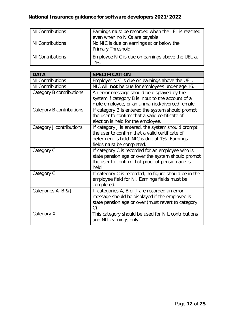| NI Contributions | Earnings must be recorded when the LEL is reached<br>even when no NICs are payable. |
|------------------|-------------------------------------------------------------------------------------|
| NI Contributions | No NIC is due on earnings at or below the<br>Primary Threshold.                     |
| NI Contributions | Employee NIC is due on earnings above the UEL at<br>$1\%$ .                         |

| <b>DATA</b>              | <b>SPECIFICATION</b>                                                                                                                                                                |
|--------------------------|-------------------------------------------------------------------------------------------------------------------------------------------------------------------------------------|
| <b>NI Contributions</b>  | Employer NIC is due on earnings above the UEL.                                                                                                                                      |
| <b>NI Contributions</b>  | NIC will not be due for employees under age 16.                                                                                                                                     |
| Category B contributions | An error message should be displayed by the<br>system if category B is input to the account of a<br>male employee, or an unmarried/divorced female.                                 |
| Category B contributions | If category B is entered the system should prompt<br>the user to confirm that a valid certificate of<br>election is held for the employee.                                          |
| Category J contributions | If category J is entered, the system should prompt<br>the user to confirm that a valid certificate of<br>deferment is held. NIC is due at 1%. Earnings<br>fields must be completed. |
| Category C               | If category C is recorded for an employee who is<br>state pension age or over the system should prompt<br>the user to confirm that proof of pension age is<br>held.                 |
| Category C               | If category C is recorded, no figure should be in the<br>employee field for NI. Earnings fields must be<br>completed.                                                               |
| Categories A, B & J      | If categories A, B or J are recorded an error<br>message should be displayed if the employee is<br>state pension age or over (must revert to category<br>C)                         |
| Category X               | This category should be used for NIL contributions<br>and NIL earnings only.                                                                                                        |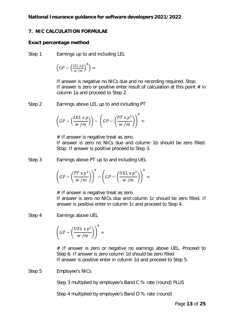## <span id="page-12-0"></span>**7. NIC CALCULATION FORMULAE**

## **Exact percentage method**

Step 1 Earnings up to and including LEL

$$
\left(GP - \left(\frac{LEL\ge p}{w\, /m}\right)^\# \right) =
$$

If answer is negative no NICs due and no recording required. Stop. If answer is zero or positive enter result of calculation at this point  $#$  in column 1a and proceed to Step 2.

Step 2 Earnings above LEL up to and including PT

$$
\left(GP - \left(\frac{LEL \times p}{w/m}\right)\right) - \left(GP - \left(\frac{PT \times p^1}{w/m}\right)\right)^{\#} =
$$

 $#$  If answer is negative treat as zero. If answer is zero no NICs due and column 1b should be zero filled. Stop. If answer is positive proceed to Step 3.

Step 3 Earnings above PT up to and including UEL

$$
\left(GP - \left(\frac{PT \times p^1}{w/m}\right)\right)^\# - \left(GP - \left(\frac{UEL \times p^1}{w/m}\right)\right)^\# =
$$

 $#$  If answer is negative treat as zero. If answer is zero no NICs due and column 1c should be zero filled. If answer is positive enter in column 1c and proceed to Step 4.

Step 4 Earnings above UEL

$$
\left(GP-\left(\frac{UEL\ge p^1}{w\left/m}\right)\right)^{\#}=
$$

# If answer is zero or negative no earnings above UEL. Proceed to Step 6. If answer is zero column 1d should be zero filled If answer is positive enter in column 1d and proceed to Step 5.

Step 5 Employee's NICs

Step 3 multiplied by employee's Band C % rate (round) PLUS

Step 4 multiplied by employee's Band D % rate (round)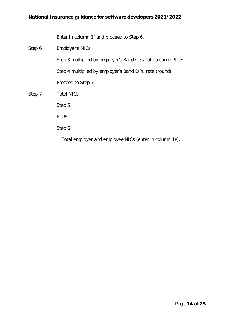Enter in column 1f and proceed to Step 6.

| Step 6 | <b>Employer's NICs</b>                                     |
|--------|------------------------------------------------------------|
|        | Step 3 multiplied by employer's Band C % rate (round) PLUS |
|        | Step 4 multiplied by employer's Band D % rate (round)      |
|        | Proceed to Step 7                                          |
| Step 7 | <b>Total NICs</b>                                          |
|        | Step 5                                                     |
|        | <b>PLUS</b>                                                |
|        | Step 6                                                     |
|        | = Total employer and employee NICs (enter in column 1e).   |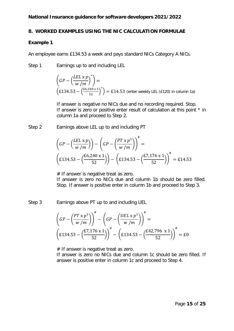#### <span id="page-14-0"></span>**8. WORKED EXAMPLES USING THE NIC CALCULATION FORMULAE**

#### **Example 1**

An employee earns £134.53 a week and pays standard NICs Category A NICs.

Step 1 Earnings up to and including LEL

$$
\left(GP - \left(\frac{LEL \times p}{w/m}\right)^{*}\right) =
$$
\n
$$
\left(E134.53 - \left(\frac{E6.240 \times 1}{52}\right)^{*}\right) = E14.53 \text{ (enter weekly LEL (E120) in column 1a)}
$$

If answer is negative no NICs due and no recording required. Stop. If answer is zero or positive enter result of calculation at this point \* in column 1a and proceed to Step 2.

Step 2 Earnings above LEL up to and including PT

$$
\left(GP - \left(\frac{LEL \times p}{w/m}\right) \right) - \left(GP - \left(\frac{PT \times p^1}{w/m}\right) \right)^{\#} =
$$
\n
$$
\left(E134.53 - \left(\frac{E6,240 \times 1}{52}\right) \right) - \left(E134.53 - \left(\frac{E7,176 \times 1}{52}\right) \right)^{\#} = E14.53
$$

 $#$  If answer is negative treat as zero.

If answer is zero no NICs due and column 1b should be zero filled. Stop. If answer is positive enter in column 1b and proceed to Step 3.

Step 3 Earnings above PT up to and including UEL

$$
\left(GP - \left(\frac{PT \times p^{1}}{W/m}\right)\right)^{\#} - \left(GP - \left(\frac{UEL \times p^{1}}{W/m}\right)\right)^{\#} =
$$
\n
$$
\left(E134.53 - \left(\frac{E7,176 \times 1}{52}\right)\right)^{\#} - \left(E134.53 - \left(\frac{E42,796 \times 1}{52}\right)\right)^{\#} = E0
$$

# If answer is negative treat as zero.

If answer is zero no NICs due and column 1c should be zero filled. If answer is positive enter in column 1c and proceed to Step 4.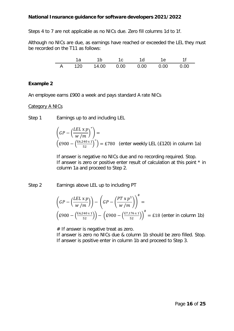Steps 4 to 7 are not applicable as no NICs due. Zero fill columns 1d to 1f.

Although no NICs are due, as earnings have reached or exceeded the LEL they must be recorded on the T11 as follows:

|   |     |              |      | 1е   |      |
|---|-----|--------------|------|------|------|
| Δ | 120 | 14.00   0.00 | 0.00 | 0.00 | 0.00 |

## **Example 2**

An employee earns £900 a week and pays standard A rate NICs

Category A NICs

Step 1 Earnings up to and including LEL

$$
\left(GP - \left(\frac{LEL \times p}{w/m}\right)^{*}\right) =
$$
\n
$$
\left(E900 - \left(\frac{E6,240 \times 1}{52}\right)^{*}\right) = E780 \text{ (enter weekly LEL (E120) in column 1a)}
$$

If answer is negative no NICs due and no recording required. Stop. If answer is zero or positive enter result of calculation at this point \* in column 1a and proceed to Step 2.

Step 2 Earnings above LEL up to including PT

$$
\left(GP - \left(\frac{LEL \times p}{w/m}\right)\right) - \left(GP - \left(\frac{PT \times p^1}{w/m}\right)\right)^{\#} =
$$
\n
$$
\left(\cancel{E900} - \left(\frac{\cancel{E6,240 \times 1}}{\cancel{52}}\right)\right) - \left(\cancel{E900} - \left(\frac{\cancel{E7,176 \times 1}}{\cancel{52}}\right)\right)^{\#} = \cancel{E18} \text{ (enter in column 1b)}
$$

 $#$  If answer is negative treat as zero.

If answer is zero no NICs due & column 1b should be zero filled. Stop. If answer is positive enter in column 1b and proceed to Step 3.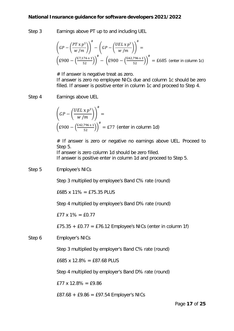Step 3 Earnings above PT up to and including UEL

$$
\left(GP - \left(\frac{PT \times p^{1}}{W/m}\right)\right)^{\#} - \left(GP - \left(\frac{UEL \times p^{1}}{W/m}\right)\right)^{\#} =
$$
\n
$$
\left(E900 - \left(\frac{E7,176 \times 1}{52}\right)\right)^{\#} - \left(E900 - \left(\frac{E42,796 \times 1}{52}\right)\right)^{\#} = E685 \text{ (enter in column 1c)}
$$

# If answer is negative treat as zero.

If answer is zero no employee NICs due and column 1c should be zero filled. If answer is positive enter in column 1c and proceed to Step 4.

#### Step 4 Earnings above UEL

$$
\left(GP - \left(\frac{UEL \times p^1}{w/m}\right)\right)^{\#} =
$$
\n
$$
\left(E900 - \left(\frac{E42,796 \times 1}{52}\right)\right)^{\#} = E77 \text{ (enter in column 1d)}
$$

# If answer is zero or negative no earnings above UEL. Proceed to Step 5.

If answer is zero column 1d should be zero filled. If answer is positive enter in column 1d and proceed to Step 5.

#### Step 5 Employee's NICs

Step 3 multiplied by employee's Band C% rate (round)

£685 x 11% = £75.35 PLUS

Step 4 multiplied by employee's Band D% rate (round)

 $£77 \times 1\% = £0.77$ 

£75.35 + £0.77 = £76.12 Employee's NICs (enter in column 1f)

Step 6 Employer's NICs

Step 3 multiplied by employer's Band C% rate (round)

£685 x 12.8% = £87.68 PLUS

Step 4 multiplied by employer's Band D% rate (round)

 $E77 \times 12.8\% = E9.86$ 

 $£87.68 + £9.86 = £97.54$  Employer's NICs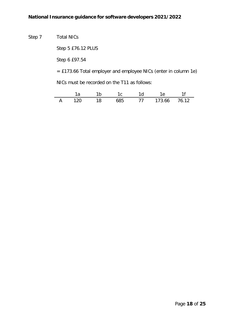

Step 5 £76.12 PLUS

Step 6 £97.54

= £173.66 Total employer and employee NICs (enter in column 1e)

NICs must be recorded on the T11 as follows:

|                |           |     |     | 4 1 d | IΑ              |  |
|----------------|-----------|-----|-----|-------|-----------------|--|
| $\overline{A}$ | ່ 1 2 0 . | 18. | 685 |       | 77 173.66 76.12 |  |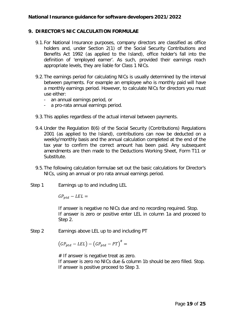## <span id="page-18-0"></span>**9. DIRECTOR'S NIC CALCULATION FORMULAE**

- 9.1.For National Insurance purposes, company directors are classified as office holders and, under Section 2(1) of the Social Security Contributions and Benefits Act 1992 (as applied to the Island), office holder's fall into the definition of 'employed earner'. As such, provided their earnings reach appropriate levels, they are liable for Class 1 NICs.
- 9.2.The earnings period for calculating NICs is usually determined by the interval between payments. For example an employee who is monthly paid will have a monthly earnings period. However, to calculate NICs for directors you must use either:
	- an annual earnings period, or
	- a pro-rata annual earnings period.
- 9.3.This applies regardless of the actual interval between payments.
- 9.4.Under the Regulation 8(6) of the Social Security (Contributions) Regulations 2001 (as applied to the Island), contributions can now be deducted on a weekly/monthly basis and the annual calculation completed at the end of the tax year to confirm the correct amount has been paid. Any subsequent amendments are then made to the Deductions Working Sheet, Form T11 or Substitute.
- 9.5.The following calculation formulae set out the basic calculations for Director's NICs, using an annual or pro rata annual earnings period.
- Step 1 Earnings up to and including LEL

 $GP_{ntd} - LEL =$ 

If answer is negative no NICs due and no recording required. Stop. If answer is zero or positive enter LEL in column 1a and proceed to Step 2.

Step 2 Earnings above LEL up to and including PT

$$
(GP_{ptd} - LEL) - (GP_{ptd} - PT)^{#} =
$$

# If answer is negative treat as zero. If answer is zero no NICs due & column 1b should be zero filled. Stop. If answer is positive proceed to Step 3.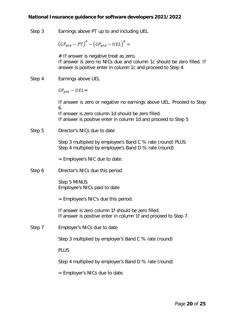Step 3 Earnings above PT up to and including UEL

$$
\left(GP_{ptd}-PT\right)^{\#}-\left(GP_{ptd}-UEL\right)^{\#}=
$$

# If answer is negative treat as zero. If answer is zero no NICs due and column 1c should be zero filled. If answer is positive enter in column 1c and proceed to Step 4.

Step 4 Earnings above UEL

 $GP_{ntd} - UEL =$ 

If answer is zero or negative no earnings above UEL. Proceed to Step 6.

If answer is zero column 1d should be zero filled. If answer is positive enter in column 1d and proceed to Step 5

Step 5 Director's NICs due to date

Step 3 multiplied by employee's Band C % rate (round) PLUS Step 4 multiplied by employee's Band D % rate (round)

= Employee's NIC due to date.

Step 6 Director's NICs due this period

Step 5 MINUS Employee's NICs paid to date

= Employee's NIC's due this period.

If answer is zero column 1f should be zero filled. If answer is positive enter in column 1f and proceed to Step 7.

Step 7 Employer's NICs due to date

Step 3 multiplied by employer's Band C % rate (round)

PLUS

Step 4 multiplied by employer's Band D % rate (round)

= Employer's NICs due to date.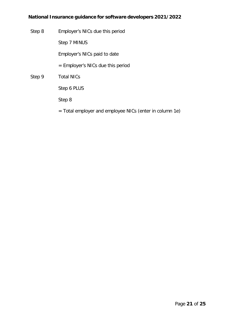Step 8 Employer's NICs due this period

Step 7 MINUS

Employer's NICs paid to date

- = Employer's NICs due this period
- Step 9 Total NICs

Step 6 PLUS

Step 8

= Total employer and employee NICs (enter in column 1e)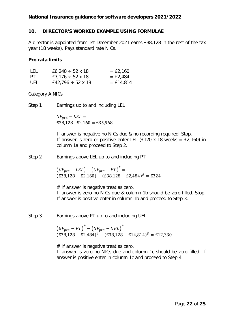## <span id="page-21-0"></span>**10. DIRECTOR'S WORKED EXAMPLE USING FORMULAE**

A director is appointed from 1st December 2021 earns £38,128 in the rest of the tax year (18 weeks). Pays standard rate NICs.

## **Pro rata limits**

| LEL | £6,240 $\div$ 52 x 18  | $=$ £2,160  |
|-----|------------------------|-------------|
| PT. | £7,176 $\div$ 52 x 18  | $=$ £2,484  |
| UEL | £42,796 $\div$ 52 x 18 | $=$ £14,814 |

## Category A NICs

Step 1 Earnings up to and including LEL

 $GP_{ptd} - LEL =$  $£38,128 - £2,160 = £35,968$ 

If answer is negative no NICs due & no recording required. Stop. If answer is zero or positive enter LEL (£120 x 18 weeks =  $£2,160$ ) in column 1a and proceed to Step 2.

Step 2 Earnings above LEL up to and including PT

 $(GP_{ptd} - LEL) - (GP_{ptd} - PT)^{#} =$  $(£38,128 – £2,160) – (£38,128 – £2,484)$ <sup>#</sup> = £324

 $#$  If answer is negative treat as zero. If answer is zero no NICs due & column 1b should be zero filled. Stop. If answer is positive enter in column 1b and proceed to Step 3.

Step 3 Earnings above PT up to and including UEL

 $(GP_{ptd}-PT)^{*}-(GP_{ptd}-UEL)^{*}$  =  $(E38,128 - E2,484)$ <sup>#</sup> −  $(E38,128 - E14,814)$ <sup>#</sup> = £12,330

# If answer is negative treat as zero. If answer is zero no NICs due and column 1c should be zero filled. If answer is positive enter in column 1c and proceed to Step 4.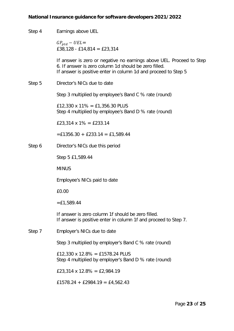| Step 4 | Earnings above UEL                                                                                                                                                                              |  |  |  |  |
|--------|-------------------------------------------------------------------------------------------------------------------------------------------------------------------------------------------------|--|--|--|--|
|        | $GP_{ptd} - UEL =$<br>£38,128 - £14,814 = £23,314                                                                                                                                               |  |  |  |  |
|        | If answer is zero or negative no earnings above UEL. Proceed to Step<br>6. If answer is zero column 1d should be zero filled.<br>If answer is positive enter in column 1d and proceed to Step 5 |  |  |  |  |
| Step 5 | Director's NICs due to date                                                                                                                                                                     |  |  |  |  |
|        | Step 3 multiplied by employee's Band C % rate (round)                                                                                                                                           |  |  |  |  |
|        | £12,330 x 11% = £1,356.30 PLUS<br>Step 4 multiplied by employee's Band D % rate (round)                                                                                                         |  |  |  |  |
|        | £23,314 x 1% = £233.14                                                                                                                                                                          |  |  |  |  |
|        | $=$ £1356.30 + £233.14 = £1,589.44                                                                                                                                                              |  |  |  |  |
| Step 6 | Director's NICs due this period                                                                                                                                                                 |  |  |  |  |
|        | Step 5 £1,589.44                                                                                                                                                                                |  |  |  |  |
|        | <b>MINUS</b>                                                                                                                                                                                    |  |  |  |  |
|        | Employee's NICs paid to date                                                                                                                                                                    |  |  |  |  |
|        | £0.00                                                                                                                                                                                           |  |  |  |  |
|        | $=$ £1,589.44                                                                                                                                                                                   |  |  |  |  |
|        | If answer is zero column 1f should be zero filled.<br>If answer is positive enter in column 1f and proceed to Step 7.                                                                           |  |  |  |  |
| Step 7 | Employer's NICs due to date                                                                                                                                                                     |  |  |  |  |
|        | Step 3 multiplied by employer's Band C % rate (round)                                                                                                                                           |  |  |  |  |
|        | £12,330 x 12.8% = £1578.24 PLUS<br>Step 4 multiplied by employer's Band D % rate (round)                                                                                                        |  |  |  |  |
|        | £23,314 x 12.8% = £2,984.19                                                                                                                                                                     |  |  |  |  |
|        | £1578.24 + £2984.19 = £4,562.43                                                                                                                                                                 |  |  |  |  |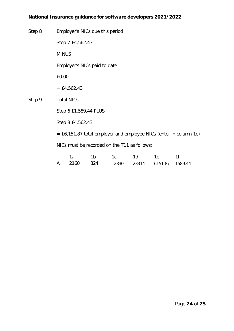Step 8 Employer's NICs due this period

Step 7 £4,562.43

MINUS

Employer's NICs paid to date

£0.00

 $=$  £4,562.43

Step 9 Total NICs

Step 6 £1,589.44 PLUS

Step 8 £4,562.43

= £6,151.87 total employer and employee NICs (enter in column 1e)

NICs must be recorded on the T11 as follows:

|       |            |       | d     |         |         |
|-------|------------|-------|-------|---------|---------|
| ን160. | <b>?24</b> | 12330 | 23314 | 6151.87 | 1589.44 |